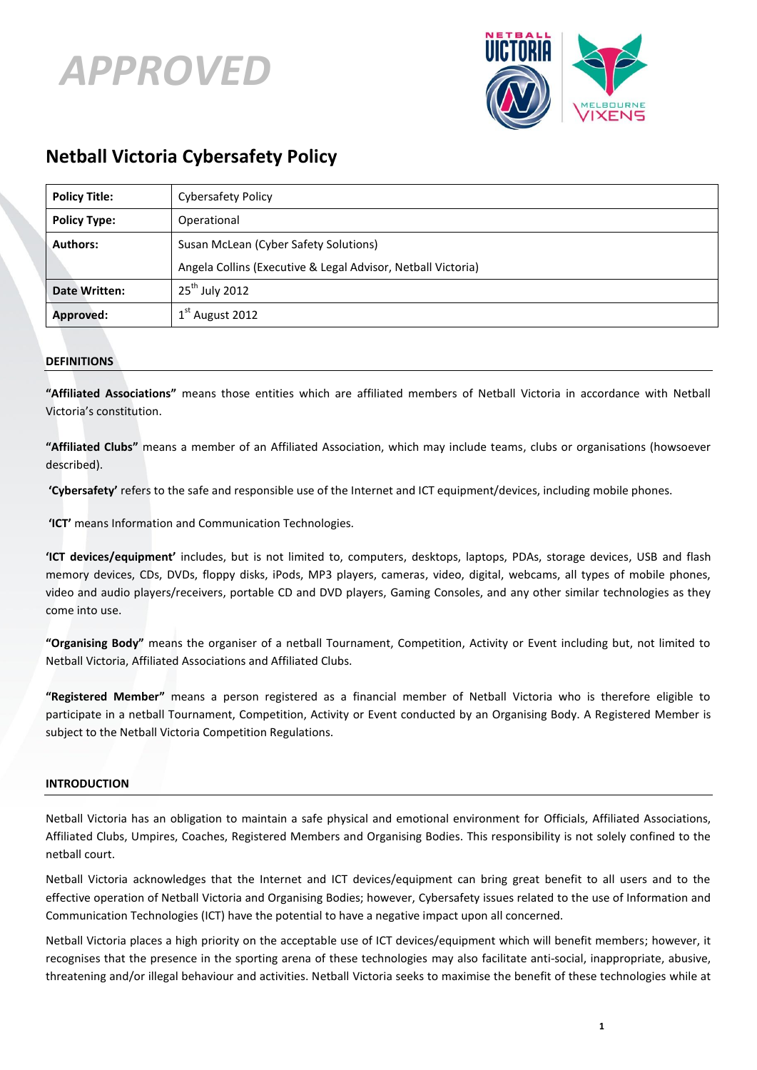



# **Netball Victoria Cybersafety Policy**

| <b>Policy Title:</b> | <b>Cybersafety Policy</b>                                    |
|----------------------|--------------------------------------------------------------|
| <b>Policy Type:</b>  | Operational                                                  |
| <b>Authors:</b>      | Susan McLean (Cyber Safety Solutions)                        |
|                      | Angela Collins (Executive & Legal Advisor, Netball Victoria) |
| <b>Date Written:</b> | $25^{\text{th}}$ July 2012                                   |
| <b>Approved:</b>     | $1st$ August 2012                                            |

# **DEFINITIONS**

**"Affiliated Associations"** means those entities which are affiliated members of Netball Victoria in accordance with Netball Victoria's constitution.

**"Affiliated Clubs"** means a member of an Affiliated Association, which may include teams, clubs or organisations (howsoever described).

**'Cybersafety'** refers to the safe and responsible use of the Internet and ICT equipment/devices, including mobile phones.

**'ICT'** means Information and Communication Technologies.

**'ICT devices/equipment'** includes, but is not limited to, computers, desktops, laptops, PDAs, storage devices, USB and flash memory devices, CDs, DVDs, floppy disks, iPods, MP3 players, cameras, video, digital, webcams, all types of mobile phones, video and audio players/receivers, portable CD and DVD players, Gaming Consoles, and any other similar technologies as they come into use.

**"Organising Body"** means the organiser of a netball Tournament, Competition, Activity or Event including but, not limited to Netball Victoria, Affiliated Associations and Affiliated Clubs.

**"Registered Member"** means a person registered as a financial member of Netball Victoria who is therefore eligible to participate in a netball Tournament, Competition, Activity or Event conducted by an Organising Body. A Registered Member is subject to the Netball Victoria Competition Regulations.

## **INTRODUCTION**

Netball Victoria has an obligation to maintain a safe physical and emotional environment for Officials, Affiliated Associations, Affiliated Clubs, Umpires, Coaches, Registered Members and Organising Bodies. This responsibility is not solely confined to the netball court.

Netball Victoria acknowledges that the Internet and ICT devices/equipment can bring great benefit to all users and to the effective operation of Netball Victoria and Organising Bodies; however, Cybersafety issues related to the use of Information and Communication Technologies (ICT) have the potential to have a negative impact upon all concerned.

Netball Victoria places a high priority on the acceptable use of ICT devices/equipment which will benefit members; however, it recognises that the presence in the sporting arena of these technologies may also facilitate anti-social, inappropriate, abusive, threatening and/or illegal behaviour and activities. Netball Victoria seeks to maximise the benefit of these technologies while at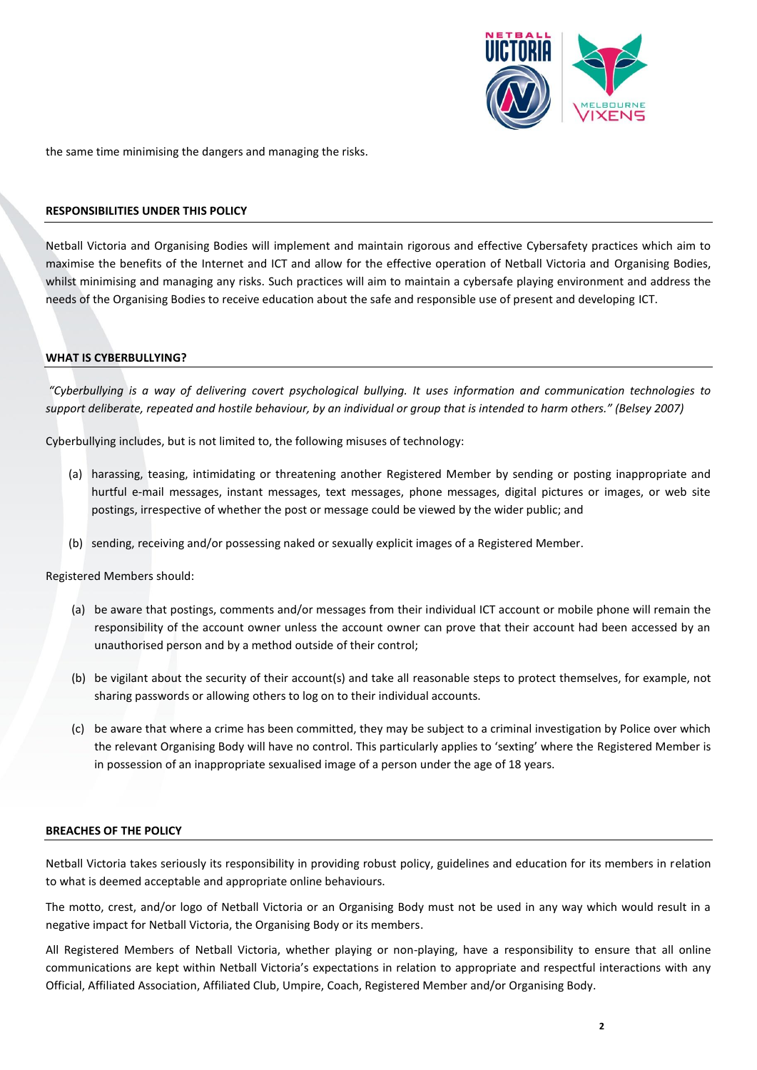

the same time minimising the dangers and managing the risks.

## **RESPONSIBILITIES UNDER THIS POLICY**

Netball Victoria and Organising Bodies will implement and maintain rigorous and effective Cybersafety practices which aim to maximise the benefits of the Internet and ICT and allow for the effective operation of Netball Victoria and Organising Bodies, whilst minimising and managing any risks. Such practices will aim to maintain a cybersafe playing environment and address the needs of the Organising Bodies to receive education about the safe and responsible use of present and developing ICT.

## **WHAT IS CYBERBULLYING?**

*"Cyberbullying is a way of delivering covert psychological bullying. It uses information and communication technologies to support deliberate, repeated and hostile behaviour, by an individual or group that is intended to harm others." (Belsey 2007)*

Cyberbullying includes, but is not limited to, the following misuses of technology:

- (a) harassing, teasing, intimidating or threatening another Registered Member by sending or posting inappropriate and hurtful e-mail messages, instant messages, text messages, phone messages, digital pictures or images, or web site postings, irrespective of whether the post or message could be viewed by the wider public; and
- (b) sending, receiving and/or possessing naked or sexually explicit images of a Registered Member.

Registered Members should:

- (a) be aware that postings, comments and/or messages from their individual ICT account or mobile phone will remain the responsibility of the account owner unless the account owner can prove that their account had been accessed by an unauthorised person and by a method outside of their control;
- (b) be vigilant about the security of their account(s) and take all reasonable steps to protect themselves, for example, not sharing passwords or allowing others to log on to their individual accounts.
- (c) be aware that where a crime has been committed, they may be subject to a criminal investigation by Police over which the relevant Organising Body will have no control. This particularly applies to 'sexting' where the Registered Member is in possession of an inappropriate sexualised image of a person under the age of 18 years.

#### **BREACHES OF THE POLICY**

Netball Victoria takes seriously its responsibility in providing robust policy, guidelines and education for its members in relation to what is deemed acceptable and appropriate online behaviours.

The motto, crest, and/or logo of Netball Victoria or an Organising Body must not be used in any way which would result in a negative impact for Netball Victoria, the Organising Body or its members.

All Registered Members of Netball Victoria, whether playing or non-playing, have a responsibility to ensure that all online communications are kept within Netball Victoria's expectations in relation to appropriate and respectful interactions with any Official, Affiliated Association, Affiliated Club, Umpire, Coach, Registered Member and/or Organising Body.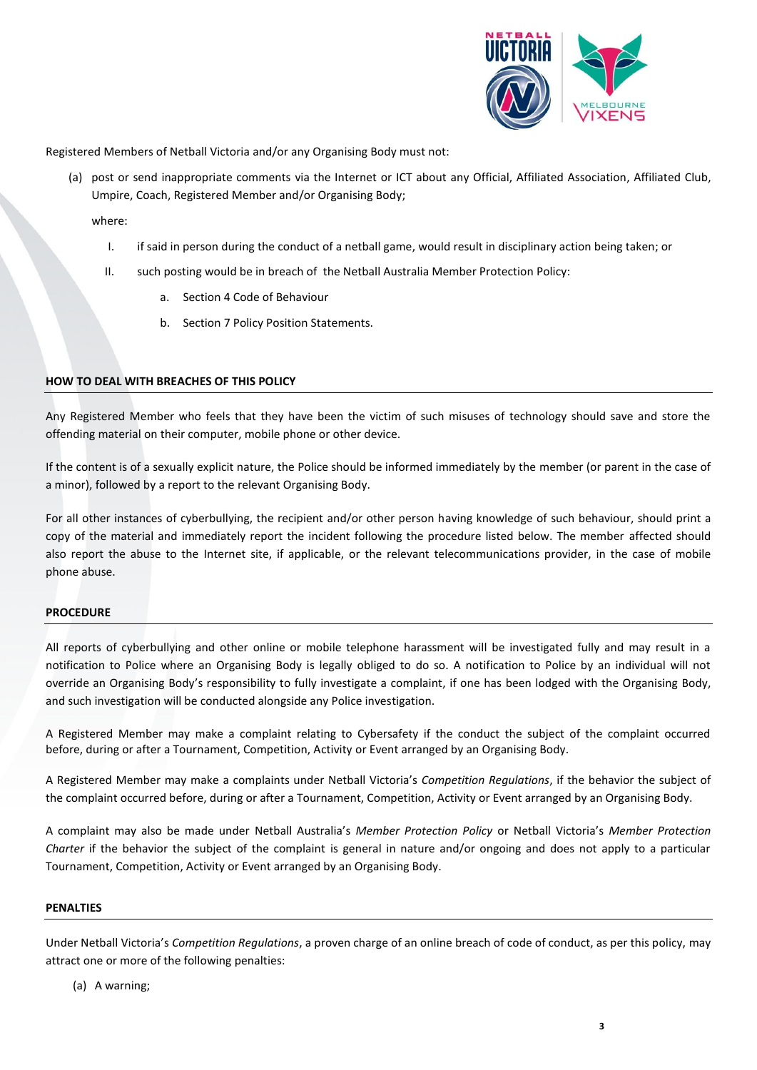

Registered Members of Netball Victoria and/or any Organising Body must not:

(a) post or send inappropriate comments via the Internet or ICT about any Official, Affiliated Association, Affiliated Club, Umpire, Coach, Registered Member and/or Organising Body;

where:

- I. if said in person during the conduct of a netball game, would result in disciplinary action being taken; or
- II. such posting would be in breach of the Netball Australia Member Protection Policy:
	- a. Section 4 Code of Behaviour
	- b. Section 7 Policy Position Statements.

## **HOW TO DEAL WITH BREACHES OF THIS POLICY**

Any Registered Member who feels that they have been the victim of such misuses of technology should save and store the offending material on their computer, mobile phone or other device.

If the content is of a sexually explicit nature, the Police should be informed immediately by the member (or parent in the case of a minor), followed by a report to the relevant Organising Body.

For all other instances of cyberbullying, the recipient and/or other person having knowledge of such behaviour, should print a copy of the material and immediately report the incident following the procedure listed below. The member affected should also report the abuse to the Internet site, if applicable, or the relevant telecommunications provider, in the case of mobile phone abuse.

#### **PROCEDURE**

All reports of cyberbullying and other online or mobile telephone harassment will be investigated fully and may result in a notification to Police where an Organising Body is legally obliged to do so. A notification to Police by an individual will not override an Organising Body's responsibility to fully investigate a complaint, if one has been lodged with the Organising Body, and such investigation will be conducted alongside any Police investigation.

A Registered Member may make a complaint relating to Cybersafety if the conduct the subject of the complaint occurred before, during or after a Tournament, Competition, Activity or Event arranged by an Organising Body.

A Registered Member may make a complaints under Netball Victoria's *Competition Regulations*, if the behavior the subject of the complaint occurred before, during or after a Tournament, Competition, Activity or Event arranged by an Organising Body.

A complaint may also be made under Netball Australia's *Member Protection Policy* or Netball Victoria's *Member Protection Charter* if the behavior the subject of the complaint is general in nature and/or ongoing and does not apply to a particular Tournament, Competition, Activity or Event arranged by an Organising Body.

#### **PENALTIES**

Under Netball Victoria's *Competition Regulations*, a proven charge of an online breach of code of conduct, as per this policy, may attract one or more of the following penalties:

(a) A warning;